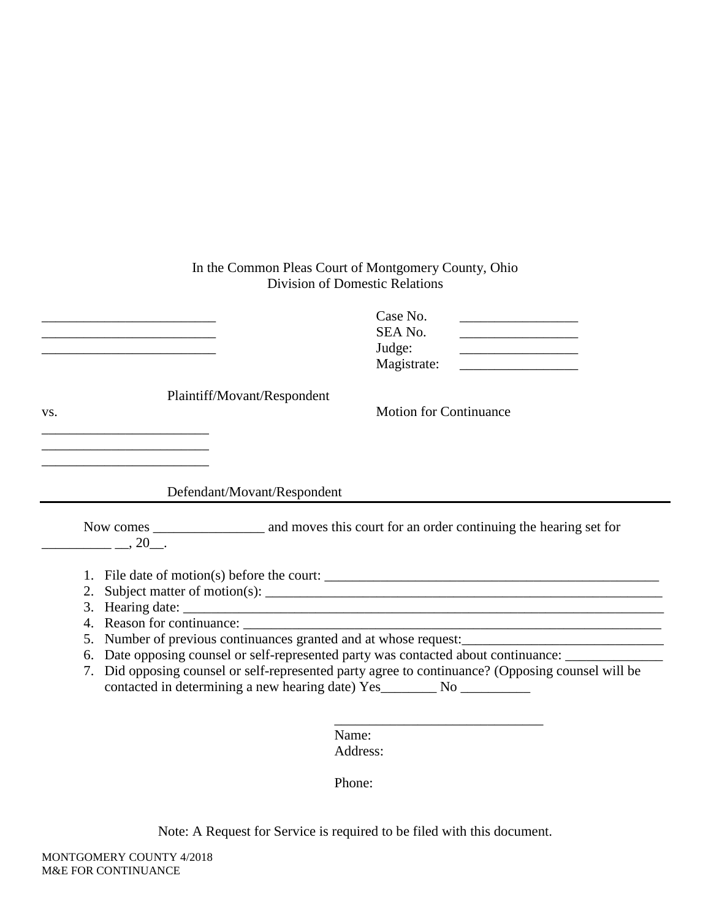### In the Common Pleas Court of Montgomery County, Ohio Division of Domestic Relations

|     | the control of the control of the control of the control of the control of the control of | Case No.<br>SEA No.<br>the control of the control of the control of<br>Judge:<br>Magistrate:      |
|-----|-------------------------------------------------------------------------------------------|---------------------------------------------------------------------------------------------------|
|     | Plaintiff/Movant/Respondent                                                               |                                                                                                   |
| VS. |                                                                                           | <b>Motion for Continuance</b>                                                                     |
|     | Defendant/Movant/Respondent                                                               |                                                                                                   |
|     | $, 20$ .                                                                                  |                                                                                                   |
|     |                                                                                           |                                                                                                   |
|     | 2.                                                                                        |                                                                                                   |
|     | 3. Hearing date:                                                                          |                                                                                                   |
|     |                                                                                           |                                                                                                   |
|     |                                                                                           | 5. Number of previous continuances granted and at whose request:                                  |
|     |                                                                                           | 6. Date opposing counsel or self-represented party was contacted about continuance: _________     |
|     | contacted in determining a new hearing date) Yes__________ No ____________                | 7. Did opposing counsel or self-represented party agree to continuance? (Opposing counsel will be |
|     |                                                                                           |                                                                                                   |

Name: Address:

Phone:

Note: A Request for Service is required to be filed with this document.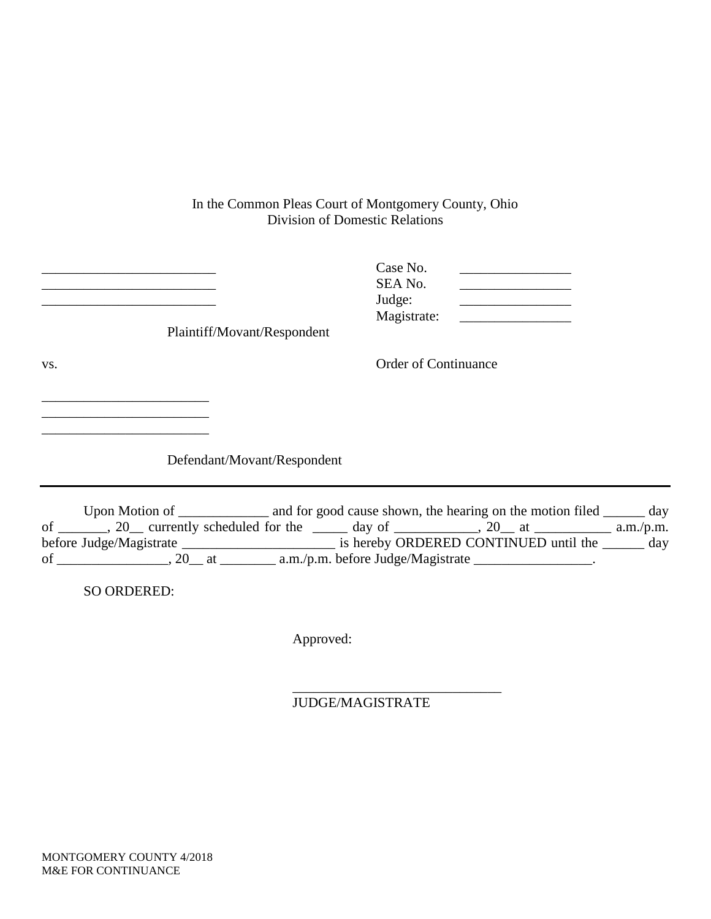### In the Common Pleas Court of Montgomery County, Ohio Division of Domestic Relations

|     | Plaintiff/Movant/Respondent | Case No.<br>SEA No.<br>Judge:<br>Magistrate: |  |
|-----|-----------------------------|----------------------------------------------|--|
| VS. |                             | <b>Order of Continuance</b>                  |  |

Defendant/Movant/Respondent

Upon Motion of \_\_\_\_\_\_\_\_\_\_\_\_\_\_ and for good cause shown, the hearing on the motion filed \_\_\_\_\_\_\_ day of \_\_\_\_\_\_, 20\_\_ currently scheduled for the \_\_\_\_\_ day of \_\_\_\_\_\_\_\_, 20\_\_ at \_\_\_\_\_\_\_\_\_\_\_ a.m./p.m. before Judge/Magistrate \_\_\_\_\_\_\_\_\_\_\_\_\_\_\_\_\_\_\_\_\_\_\_\_\_\_\_ is hereby ORDERED CONTINUED until the \_\_\_\_\_\_\_ day of \_\_\_\_\_\_\_\_\_\_\_\_\_\_\_\_\_\_, 20\_\_ at \_\_\_\_\_\_\_\_\_\_\_ a.m./p.m. before Judge/Magistrate \_\_\_\_\_\_\_\_\_\_\_\_\_\_\_\_\_\_.

SO ORDERED:

\_\_\_\_\_\_\_\_\_\_\_\_\_\_\_\_\_\_\_\_\_\_\_\_

Approved:

\_\_\_\_\_\_\_\_\_\_\_\_\_\_\_\_\_\_\_\_\_\_\_\_\_\_\_\_\_\_ JUDGE/MAGISTRATE